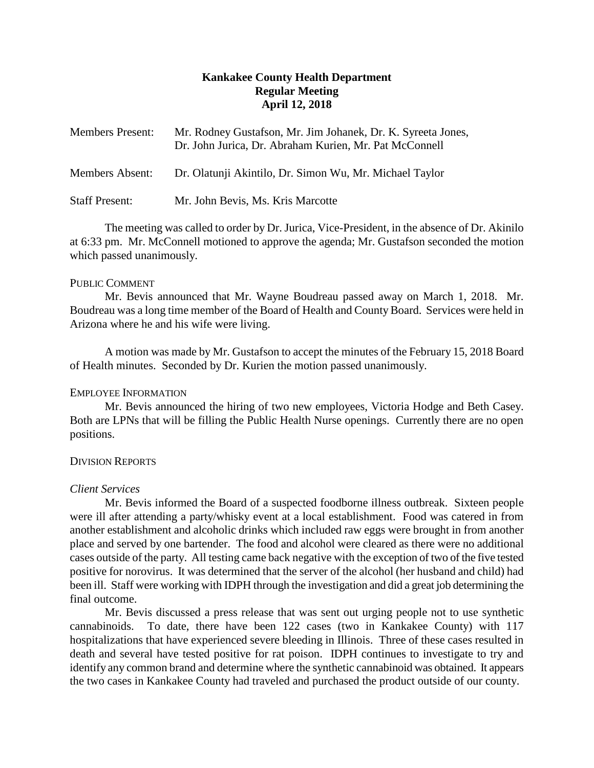# **Kankakee County Health Department Regular Meeting April 12, 2018**

| <b>Members Present:</b> | Mr. Rodney Gustafson, Mr. Jim Johanek, Dr. K. Syreeta Jones,<br>Dr. John Jurica, Dr. Abraham Kurien, Mr. Pat McConnell |
|-------------------------|------------------------------------------------------------------------------------------------------------------------|
| Members Absent:         | Dr. Olatunji Akintilo, Dr. Simon Wu, Mr. Michael Taylor                                                                |
| <b>Staff Present:</b>   | Mr. John Bevis, Ms. Kris Marcotte                                                                                      |

The meeting was called to order by Dr. Jurica, Vice-President, in the absence of Dr. Akinilo at 6:33 pm. Mr. McConnell motioned to approve the agenda; Mr. Gustafson seconded the motion which passed unanimously.

#### PUBLIC COMMENT

Mr. Bevis announced that Mr. Wayne Boudreau passed away on March 1, 2018. Mr. Boudreau was a long time member of the Board of Health and County Board. Services were held in Arizona where he and his wife were living.

A motion was made by Mr. Gustafson to accept the minutes of the February 15, 2018 Board of Health minutes. Seconded by Dr. Kurien the motion passed unanimously.

#### EMPLOYEE INFORMATION

Mr. Bevis announced the hiring of two new employees, Victoria Hodge and Beth Casey. Both are LPNs that will be filling the Public Health Nurse openings. Currently there are no open positions.

## DIVISION REPORTS

#### *Client Services*

Mr. Bevis informed the Board of a suspected foodborne illness outbreak. Sixteen people were ill after attending a party/whisky event at a local establishment. Food was catered in from another establishment and alcoholic drinks which included raw eggs were brought in from another place and served by one bartender. The food and alcohol were cleared as there were no additional cases outside of the party. All testing came back negative with the exception of two of the five tested positive for norovirus. It was determined that the server of the alcohol (her husband and child) had been ill. Staff were working with IDPH through the investigation and did a great job determining the final outcome.

Mr. Bevis discussed a press release that was sent out urging people not to use synthetic cannabinoids. To date, there have been 122 cases (two in Kankakee County) with 117 hospitalizations that have experienced severe bleeding in Illinois. Three of these cases resulted in death and several have tested positive for rat poison. IDPH continues to investigate to try and identify any common brand and determine where the synthetic cannabinoid was obtained. It appears the two cases in Kankakee County had traveled and purchased the product outside of our county.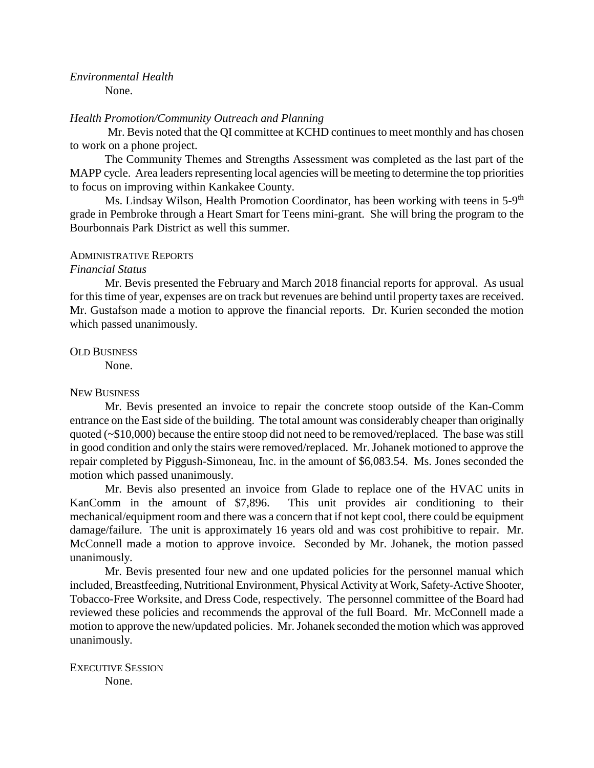# *Environmental Health*

None.

#### *Health Promotion/Community Outreach and Planning*

Mr. Bevis noted that the QI committee at KCHD continues to meet monthly and has chosen to work on a phone project.

The Community Themes and Strengths Assessment was completed as the last part of the MAPP cycle. Area leaders representing local agencies will be meeting to determine the top priorities to focus on improving within Kankakee County.

Ms. Lindsay Wilson, Health Promotion Coordinator, has been working with teens in 5-9<sup>th</sup> grade in Pembroke through a Heart Smart for Teens mini-grant. She will bring the program to the Bourbonnais Park District as well this summer.

#### ADMINISTRATIVE REPORTS

*Financial Status*

Mr. Bevis presented the February and March 2018 financial reports for approval. As usual for this time of year, expenses are on track but revenues are behind until property taxes are received. Mr. Gustafson made a motion to approve the financial reports. Dr. Kurien seconded the motion which passed unanimously.

#### OLD BUSINESS

None.

## NEW BUSINESS

Mr. Bevis presented an invoice to repair the concrete stoop outside of the Kan-Comm entrance on the East side of the building. The total amount was considerably cheaper than originally quoted (~\$10,000) because the entire stoop did not need to be removed/replaced. The base was still in good condition and only the stairs were removed/replaced. Mr. Johanek motioned to approve the repair completed by Piggush-Simoneau, Inc. in the amount of \$6,083.54. Ms. Jones seconded the motion which passed unanimously.

Mr. Bevis also presented an invoice from Glade to replace one of the HVAC units in KanComm in the amount of \$7,896. This unit provides air conditioning to their mechanical/equipment room and there was a concern that if not kept cool, there could be equipment damage/failure. The unit is approximately 16 years old and was cost prohibitive to repair. Mr. McConnell made a motion to approve invoice. Seconded by Mr. Johanek, the motion passed unanimously.

Mr. Bevis presented four new and one updated policies for the personnel manual which included, Breastfeeding, Nutritional Environment, Physical Activity at Work, Safety-Active Shooter, Tobacco-Free Worksite, and Dress Code, respectively. The personnel committee of the Board had reviewed these policies and recommends the approval of the full Board. Mr. McConnell made a motion to approve the new/updated policies. Mr. Johanek seconded the motion which was approved unanimously.

EXECUTIVE SESSION None.